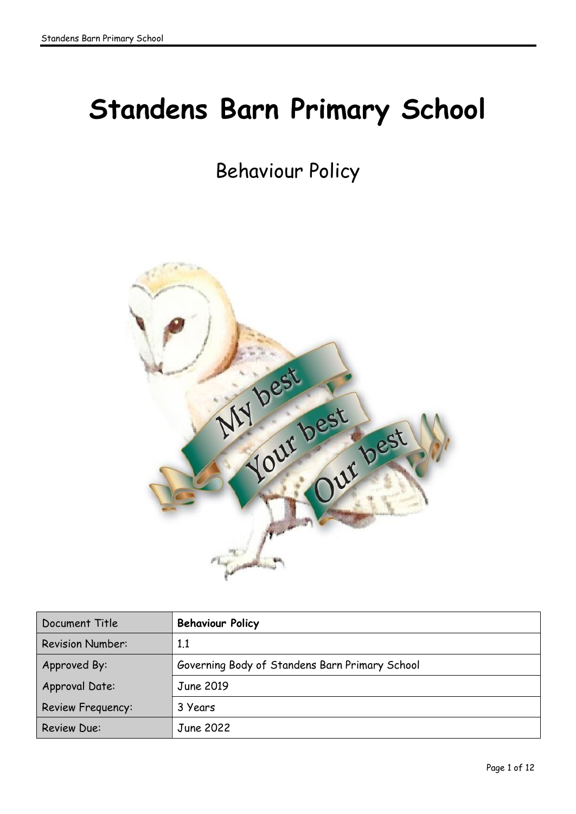# **Standens Barn Primary School**

# Behaviour Policy



| Document Title           | <b>Behaviour Policy</b>                        |
|--------------------------|------------------------------------------------|
| <b>Revision Number:</b>  | 1.1                                            |
| Approved By:             | Governing Body of Standens Barn Primary School |
| Approval Date:           | June 2019                                      |
| <b>Review Frequency:</b> | 3 Years                                        |
| <b>Review Due:</b>       | June 2022                                      |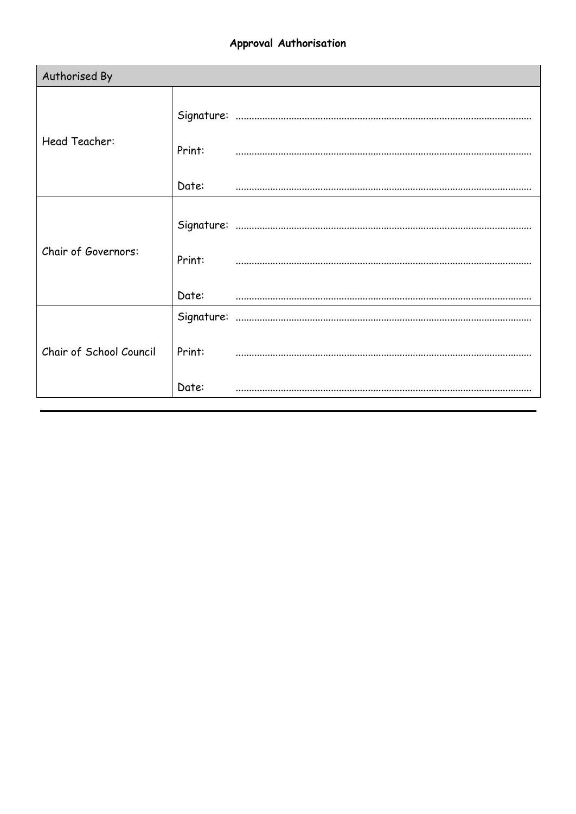# Approval Authorisation

| Authorised By           |        |  |
|-------------------------|--------|--|
| Head Teacher:           |        |  |
|                         | Print: |  |
|                         | Date:  |  |
| Chair of Governors:     | Print: |  |
|                         | Date:  |  |
| Chair of School Council |        |  |
|                         | Print: |  |
|                         | Date:  |  |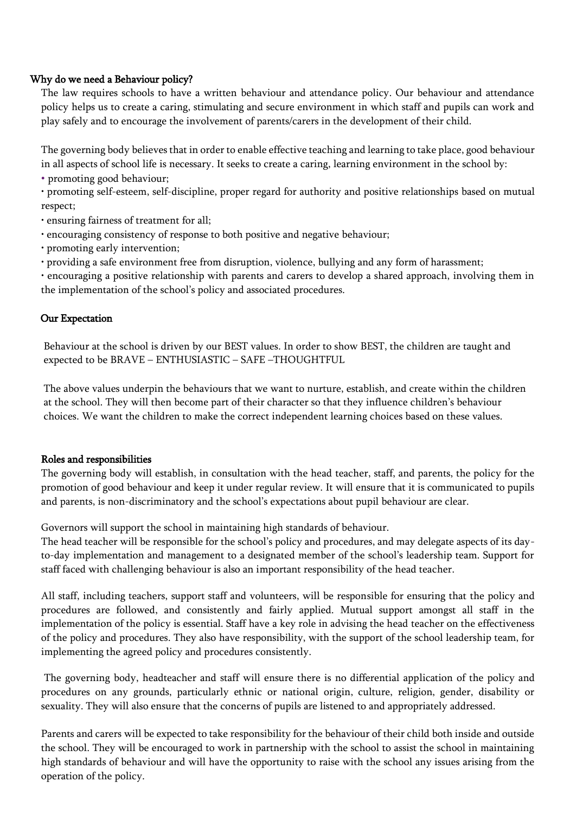#### Why do we need a Behaviour policy?

The law requires schools to have a written behaviour and attendance policy. Our behaviour and attendance policy helps us to create a caring, stimulating and secure environment in which staff and pupils can work and play safely and to encourage the involvement of parents/carers in the development of their child.

The governing body believes that in order to enable effective teaching and learning to take place, good behaviour in all aspects of school life is necessary. It seeks to create a caring, learning environment in the school by:

• promoting good behaviour;

• promoting self-esteem, self-discipline, proper regard for authority and positive relationships based on mutual respect;

- ensuring fairness of treatment for all;
- encouraging consistency of response to both positive and negative behaviour;
- promoting early intervention;
- providing a safe environment free from disruption, violence, bullying and any form of harassment;

• encouraging a positive relationship with parents and carers to develop a shared approach, involving them in the implementation of the school's policy and associated procedures.

#### Our Expectation

Behaviour at the school is driven by our BEST values. In order to show BEST, the children are taught and expected to be BRAVE – ENTHUSIASTIC – SAFE –THOUGHTFUL

The above values underpin the behaviours that we want to nurture, establish, and create within the children at the school. They will then become part of their character so that they influence children's behaviour choices. We want the children to make the correct independent learning choices based on these values.

#### Roles and responsibilities

The governing body will establish, in consultation with the head teacher, staff, and parents, the policy for the promotion of good behaviour and keep it under regular review. It will ensure that it is communicated to pupils and parents, is non-discriminatory and the school's expectations about pupil behaviour are clear.

Governors will support the school in maintaining high standards of behaviour.

The head teacher will be responsible for the school's policy and procedures, and may delegate aspects of its dayto-day implementation and management to a designated member of the school's leadership team. Support for staff faced with challenging behaviour is also an important responsibility of the head teacher.

All staff, including teachers, support staff and volunteers, will be responsible for ensuring that the policy and procedures are followed, and consistently and fairly applied. Mutual support amongst all staff in the implementation of the policy is essential. Staff have a key role in advising the head teacher on the effectiveness of the policy and procedures. They also have responsibility, with the support of the school leadership team, for implementing the agreed policy and procedures consistently.

The governing body, headteacher and staff will ensure there is no differential application of the policy and procedures on any grounds, particularly ethnic or national origin, culture, religion, gender, disability or sexuality. They will also ensure that the concerns of pupils are listened to and appropriately addressed.

Parents and carers will be expected to take responsibility for the behaviour of their child both inside and outside the school. They will be encouraged to work in partnership with the school to assist the school in maintaining high standards of behaviour and will have the opportunity to raise with the school any issues arising from the operation of the policy.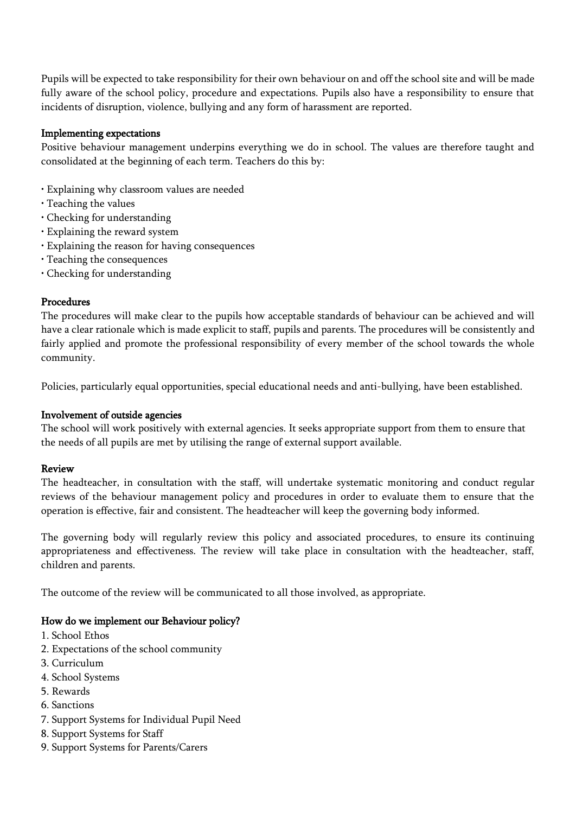Pupils will be expected to take responsibility for their own behaviour on and off the school site and will be made fully aware of the school policy, procedure and expectations. Pupils also have a responsibility to ensure that incidents of disruption, violence, bullying and any form of harassment are reported.

#### Implementing expectations

Positive behaviour management underpins everything we do in school. The values are therefore taught and consolidated at the beginning of each term. Teachers do this by:

- Explaining why classroom values are needed
- Teaching the values
- Checking for understanding
- Explaining the reward system
- Explaining the reason for having consequences
- Teaching the consequences
- Checking for understanding

#### Procedures

The procedures will make clear to the pupils how acceptable standards of behaviour can be achieved and will have a clear rationale which is made explicit to staff, pupils and parents. The procedures will be consistently and fairly applied and promote the professional responsibility of every member of the school towards the whole community.

Policies, particularly equal opportunities, special educational needs and anti-bullying, have been established.

#### Involvement of outside agencies

The school will work positively with external agencies. It seeks appropriate support from them to ensure that the needs of all pupils are met by utilising the range of external support available.

#### Review

The headteacher, in consultation with the staff, will undertake systematic monitoring and conduct regular reviews of the behaviour management policy and procedures in order to evaluate them to ensure that the operation is effective, fair and consistent. The headteacher will keep the governing body informed.

The governing body will regularly review this policy and associated procedures, to ensure its continuing appropriateness and effectiveness. The review will take place in consultation with the headteacher, staff, children and parents.

The outcome of the review will be communicated to all those involved, as appropriate.

#### How do we implement our Behaviour policy?

- 1. School Ethos
- 2. Expectations of the school community
- 3. Curriculum
- 4. School Systems
- 5. Rewards
- 6. Sanctions
- 7. Support Systems for Individual Pupil Need
- 8. Support Systems for Staff
- 9. Support Systems for Parents/Carers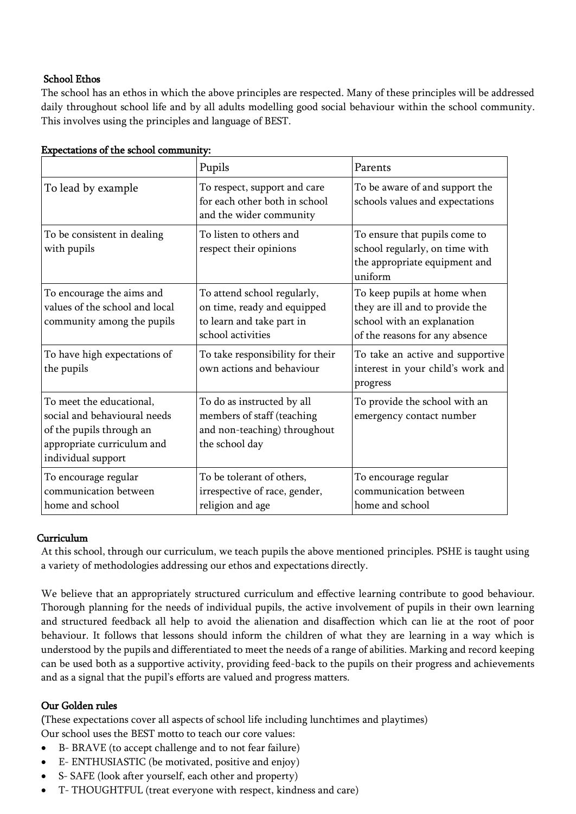# School Ethos

The school has an ethos in which the above principles are respected. Many of these principles will be addressed daily throughout school life and by all adults modelling good social behaviour within the school community. This involves using the principles and language of BEST.

|                                                                                                                                          | Pupils                                                                                                       | Parents                                                                                                                        |
|------------------------------------------------------------------------------------------------------------------------------------------|--------------------------------------------------------------------------------------------------------------|--------------------------------------------------------------------------------------------------------------------------------|
| To lead by example                                                                                                                       | To respect, support and care<br>for each other both in school<br>and the wider community                     | To be aware of and support the<br>schools values and expectations                                                              |
| To be consistent in dealing<br>with pupils                                                                                               | To listen to others and<br>respect their opinions                                                            | To ensure that pupils come to<br>school regularly, on time with<br>the appropriate equipment and<br>uniform                    |
| To encourage the aims and<br>values of the school and local<br>community among the pupils                                                | To attend school regularly,<br>on time, ready and equipped<br>to learn and take part in<br>school activities | To keep pupils at home when<br>they are ill and to provide the<br>school with an explanation<br>of the reasons for any absence |
| To have high expectations of<br>the pupils                                                                                               | To take responsibility for their<br>own actions and behaviour                                                | To take an active and supportive<br>interest in your child's work and<br>progress                                              |
| To meet the educational,<br>social and behavioural needs<br>of the pupils through an<br>appropriate curriculum and<br>individual support | To do as instructed by all<br>members of staff (teaching<br>and non-teaching) throughout<br>the school day   | To provide the school with an<br>emergency contact number                                                                      |
| To encourage regular<br>communication between<br>home and school                                                                         | To be tolerant of others,<br>irrespective of race, gender,<br>religion and age                               | To encourage regular<br>communication between<br>home and school                                                               |

#### Expectations of the school community:

### Curriculum

At this school, through our curriculum, we teach pupils the above mentioned principles. PSHE is taught using a variety of methodologies addressing our ethos and expectations directly.

We believe that an appropriately structured curriculum and effective learning contribute to good behaviour. Thorough planning for the needs of individual pupils, the active involvement of pupils in their own learning and structured feedback all help to avoid the alienation and disaffection which can lie at the root of poor behaviour. It follows that lessons should inform the children of what they are learning in a way which is understood by the pupils and differentiated to meet the needs of a range of abilities. Marking and record keeping can be used both as a supportive activity, providing feed-back to the pupils on their progress and achievements and as a signal that the pupil's efforts are valued and progress matters.

#### Our Golden rules

(These expectations cover all aspects of school life including lunchtimes and playtimes)

Our school uses the BEST motto to teach our core values:

- B- BRAVE (to accept challenge and to not fear failure)
- E- ENTHUSIASTIC (be motivated, positive and enjoy)
- S- SAFE (look after yourself, each other and property)
- T- THOUGHTFUL (treat everyone with respect, kindness and care)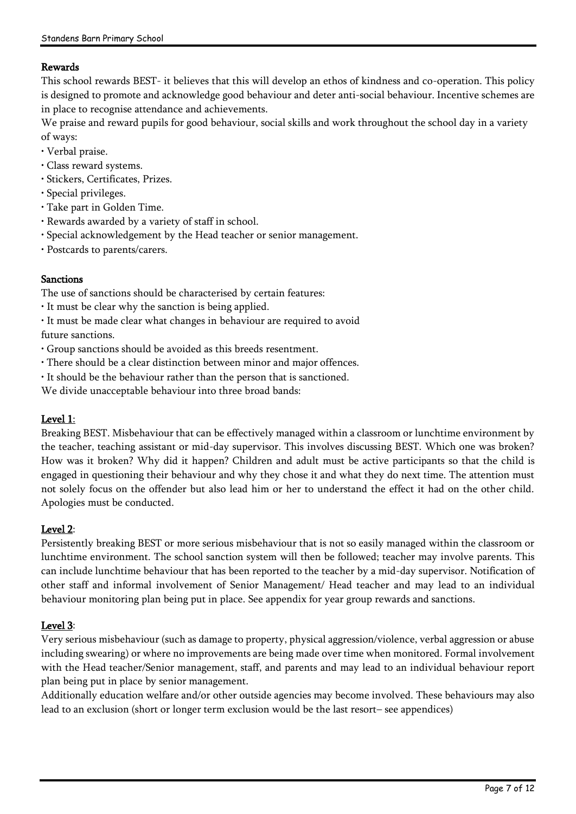# Rewards

This school rewards BEST- it believes that this will develop an ethos of kindness and co-operation. This policy is designed to promote and acknowledge good behaviour and deter anti-social behaviour. Incentive schemes are in place to recognise attendance and achievements.

We praise and reward pupils for good behaviour, social skills and work throughout the school day in a variety of ways:

- Verbal praise.
- Class reward systems.
- Stickers, Certificates, Prizes.
- Special privileges.
- Take part in Golden Time.
- Rewards awarded by a variety of staff in school.
- Special acknowledgement by the Head teacher or senior management.
- Postcards to parents/carers.

#### Sanctions

The use of sanctions should be characterised by certain features:

- It must be clear why the sanction is being applied.
- It must be made clear what changes in behaviour are required to avoid future sanctions.
- Group sanctions should be avoided as this breeds resentment.
- There should be a clear distinction between minor and major offences.
- It should be the behaviour rather than the person that is sanctioned.
- We divide unacceptable behaviour into three broad bands:

# Level 1:

Breaking BEST. Misbehaviour that can be effectively managed within a classroom or lunchtime environment by the teacher, teaching assistant or mid-day supervisor. This involves discussing BEST. Which one was broken? How was it broken? Why did it happen? Children and adult must be active participants so that the child is engaged in questioning their behaviour and why they chose it and what they do next time. The attention must not solely focus on the offender but also lead him or her to understand the effect it had on the other child. Apologies must be conducted.

# Level 2:

Persistently breaking BEST or more serious misbehaviour that is not so easily managed within the classroom or lunchtime environment. The school sanction system will then be followed; teacher may involve parents. This can include lunchtime behaviour that has been reported to the teacher by a mid-day supervisor. Notification of other staff and informal involvement of Senior Management/ Head teacher and may lead to an individual behaviour monitoring plan being put in place. See appendix for year group rewards and sanctions.

# Level 3:

Very serious misbehaviour (such as damage to property, physical aggression/violence, verbal aggression or abuse including swearing) or where no improvements are being made over time when monitored. Formal involvement with the Head teacher/Senior management, staff, and parents and may lead to an individual behaviour report plan being put in place by senior management.

Additionally education welfare and/or other outside agencies may become involved. These behaviours may also lead to an exclusion (short or longer term exclusion would be the last resort– see appendices)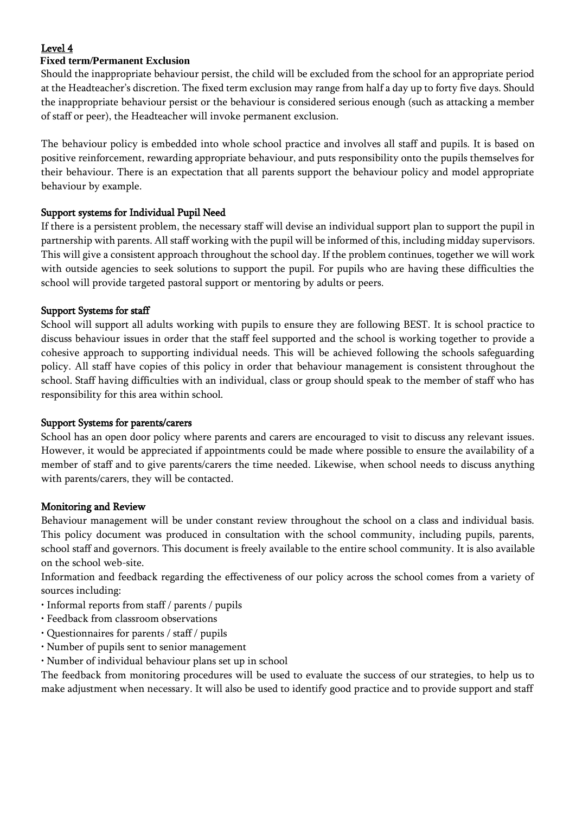# Level 4

# **Fixed term/Permanent Exclusion**

Should the inappropriate behaviour persist, the child will be excluded from the school for an appropriate period at the Headteacher's discretion. The fixed term exclusion may range from half a day up to forty five days. Should the inappropriate behaviour persist or the behaviour is considered serious enough (such as attacking a member of staff or peer), the Headteacher will invoke permanent exclusion.

The behaviour policy is embedded into whole school practice and involves all staff and pupils. It is based on positive reinforcement, rewarding appropriate behaviour, and puts responsibility onto the pupils themselves for their behaviour. There is an expectation that all parents support the behaviour policy and model appropriate behaviour by example.

# Support systems for Individual Pupil Need

If there is a persistent problem, the necessary staff will devise an individual support plan to support the pupil in partnership with parents. All staff working with the pupil will be informed of this, including midday supervisors. This will give a consistent approach throughout the school day. If the problem continues, together we will work with outside agencies to seek solutions to support the pupil. For pupils who are having these difficulties the school will provide targeted pastoral support or mentoring by adults or peers.

# Support Systems for staff

School will support all adults working with pupils to ensure they are following BEST. It is school practice to discuss behaviour issues in order that the staff feel supported and the school is working together to provide a cohesive approach to supporting individual needs. This will be achieved following the schools safeguarding policy. All staff have copies of this policy in order that behaviour management is consistent throughout the school. Staff having difficulties with an individual, class or group should speak to the member of staff who has responsibility for this area within school.

# Support Systems for parents/carers

School has an open door policy where parents and carers are encouraged to visit to discuss any relevant issues. However, it would be appreciated if appointments could be made where possible to ensure the availability of a member of staff and to give parents/carers the time needed. Likewise, when school needs to discuss anything with parents/carers, they will be contacted.

# Monitoring and Review

Behaviour management will be under constant review throughout the school on a class and individual basis. This policy document was produced in consultation with the school community, including pupils, parents, school staff and governors. This document is freely available to the entire school community. It is also available on the school web-site.

Information and feedback regarding the effectiveness of our policy across the school comes from a variety of sources including:

- Informal reports from staff / parents / pupils
- Feedback from classroom observations
- Questionnaires for parents / staff / pupils
- Number of pupils sent to senior management
- Number of individual behaviour plans set up in school

The feedback from monitoring procedures will be used to evaluate the success of our strategies, to help us to make adjustment when necessary. It will also be used to identify good practice and to provide support and staff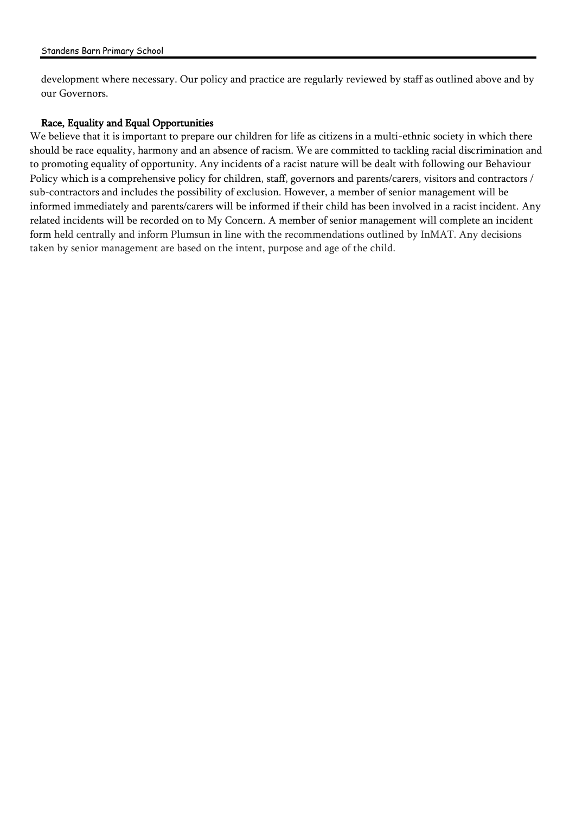development where necessary. Our policy and practice are regularly reviewed by staff as outlined above and by our Governors.

# Race, Equality and Equal Opportunities

We believe that it is important to prepare our children for life as citizens in a multi-ethnic society in which there should be race equality, harmony and an absence of racism. We are committed to tackling racial discrimination and to promoting equality of opportunity. Any incidents of a racist nature will be dealt with following our Behaviour Policy which is a comprehensive policy for children, staff, governors and parents/carers, visitors and contractors / sub-contractors and includes the possibility of exclusion. However, a member of senior management will be informed immediately and parents/carers will be informed if their child has been involved in a racist incident. Any related incidents will be recorded on to My Concern. A member of senior management will complete an incident form held centrally and inform Plumsun in line with the recommendations outlined by InMAT. Any decisions taken by senior management are based on the intent, purpose and age of the child.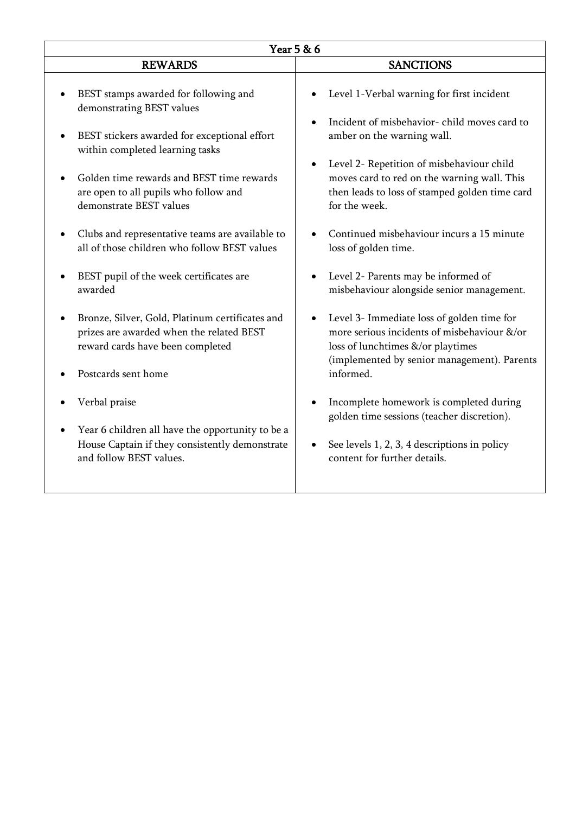| Year 5 & 6                                                                                                                                                                                                                                                                                                                                                                                                                                                |                                                                                                                                                                                                                                                                                                                                                                                                                                                |  |  |  |
|-----------------------------------------------------------------------------------------------------------------------------------------------------------------------------------------------------------------------------------------------------------------------------------------------------------------------------------------------------------------------------------------------------------------------------------------------------------|------------------------------------------------------------------------------------------------------------------------------------------------------------------------------------------------------------------------------------------------------------------------------------------------------------------------------------------------------------------------------------------------------------------------------------------------|--|--|--|
| <b>REWARDS</b>                                                                                                                                                                                                                                                                                                                                                                                                                                            | <b>SANCTIONS</b>                                                                                                                                                                                                                                                                                                                                                                                                                               |  |  |  |
| BEST stamps awarded for following and<br>demonstrating BEST values<br>BEST stickers awarded for exceptional effort<br>within completed learning tasks<br>Golden time rewards and BEST time rewards<br>$\bullet$<br>are open to all pupils who follow and<br>demonstrate BEST values<br>Clubs and representative teams are available to<br>$\bullet$<br>all of those children who follow BEST values<br>BEST pupil of the week certificates are<br>awarded | Level 1-Verbal warning for first incident<br>Incident of misbehavior-child moves card to<br>amber on the warning wall.<br>Level 2- Repetition of misbehaviour child<br>moves card to red on the warning wall. This<br>then leads to loss of stamped golden time card<br>for the week.<br>Continued misbehaviour incurs a 15 minute<br>loss of golden time.<br>Level 2- Parents may be informed of<br>misbehaviour alongside senior management. |  |  |  |
| Bronze, Silver, Gold, Platinum certificates and<br>$\bullet$<br>prizes are awarded when the related BEST<br>reward cards have been completed<br>Postcards sent home                                                                                                                                                                                                                                                                                       | Level 3- Immediate loss of golden time for<br>$\bullet$<br>more serious incidents of misbehaviour &/or<br>loss of lunchtimes &/or playtimes<br>(implemented by senior management). Parents<br>informed.                                                                                                                                                                                                                                        |  |  |  |
| Verbal praise<br>Year 6 children all have the opportunity to be a<br>House Captain if they consistently demonstrate<br>and follow BEST values.                                                                                                                                                                                                                                                                                                            | Incomplete homework is completed during<br>golden time sessions (teacher discretion).<br>See levels 1, 2, 3, 4 descriptions in policy<br>content for further details.                                                                                                                                                                                                                                                                          |  |  |  |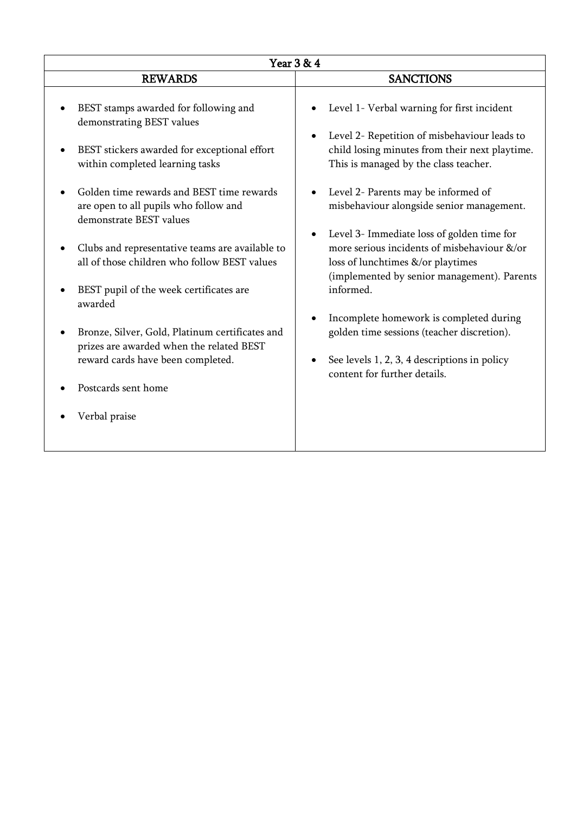| Year 3 & 4                                                                                                                                                                                                                                                                                                                                                                                                                                                                                                                                                                                                  |                                                                                                                                                                                                                                                                                                                                                                                                                                                                                                                                                                                                                                                  |  |  |  |
|-------------------------------------------------------------------------------------------------------------------------------------------------------------------------------------------------------------------------------------------------------------------------------------------------------------------------------------------------------------------------------------------------------------------------------------------------------------------------------------------------------------------------------------------------------------------------------------------------------------|--------------------------------------------------------------------------------------------------------------------------------------------------------------------------------------------------------------------------------------------------------------------------------------------------------------------------------------------------------------------------------------------------------------------------------------------------------------------------------------------------------------------------------------------------------------------------------------------------------------------------------------------------|--|--|--|
| <b>REWARDS</b>                                                                                                                                                                                                                                                                                                                                                                                                                                                                                                                                                                                              | <b>SANCTIONS</b>                                                                                                                                                                                                                                                                                                                                                                                                                                                                                                                                                                                                                                 |  |  |  |
| BEST stamps awarded for following and<br>demonstrating BEST values<br>BEST stickers awarded for exceptional effort<br>within completed learning tasks<br>Golden time rewards and BEST time rewards<br>are open to all pupils who follow and<br>demonstrate BEST values<br>Clubs and representative teams are available to<br>all of those children who follow BEST values<br>BEST pupil of the week certificates are<br>awarded<br>Bronze, Silver, Gold, Platinum certificates and<br>prizes are awarded when the related BEST<br>reward cards have been completed.<br>Postcards sent home<br>Verbal praise | Level 1- Verbal warning for first incident<br>Level 2- Repetition of misbehaviour leads to<br>child losing minutes from their next playtime.<br>This is managed by the class teacher.<br>Level 2- Parents may be informed of<br>misbehaviour alongside senior management.<br>Level 3- Immediate loss of golden time for<br>more serious incidents of misbehaviour &/or<br>loss of lunchtimes &/or playtimes<br>(implemented by senior management). Parents<br>informed.<br>Incomplete homework is completed during<br>golden time sessions (teacher discretion).<br>See levels 1, 2, 3, 4 descriptions in policy<br>content for further details. |  |  |  |
|                                                                                                                                                                                                                                                                                                                                                                                                                                                                                                                                                                                                             |                                                                                                                                                                                                                                                                                                                                                                                                                                                                                                                                                                                                                                                  |  |  |  |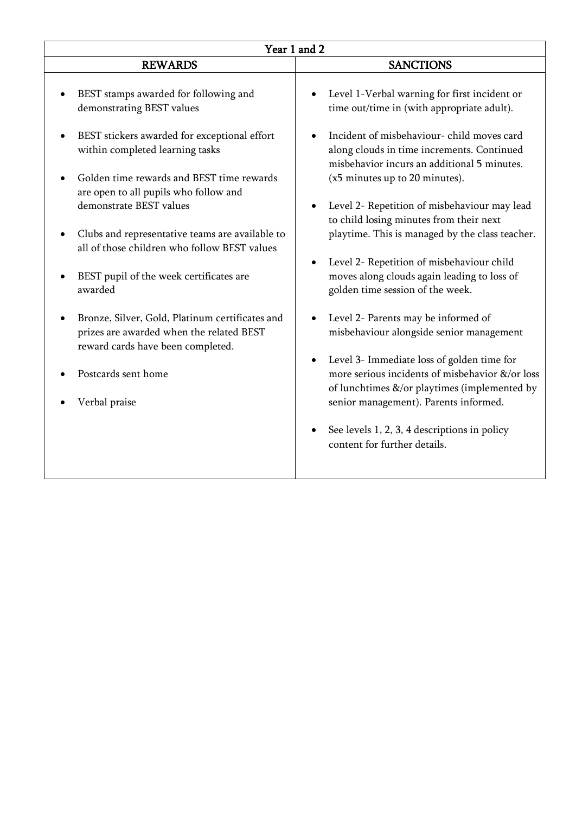| Year 1 and 2                                                                                                                                                                                                                                                                                                                                                                                                                                                                                                                                                                                                |                                                                                                                                                                                                                                                                                                                                                                                                                                                                                                                                                                                                                                                                                                                                                                                                                                                                                   |  |  |  |
|-------------------------------------------------------------------------------------------------------------------------------------------------------------------------------------------------------------------------------------------------------------------------------------------------------------------------------------------------------------------------------------------------------------------------------------------------------------------------------------------------------------------------------------------------------------------------------------------------------------|-----------------------------------------------------------------------------------------------------------------------------------------------------------------------------------------------------------------------------------------------------------------------------------------------------------------------------------------------------------------------------------------------------------------------------------------------------------------------------------------------------------------------------------------------------------------------------------------------------------------------------------------------------------------------------------------------------------------------------------------------------------------------------------------------------------------------------------------------------------------------------------|--|--|--|
| <b>REWARDS</b>                                                                                                                                                                                                                                                                                                                                                                                                                                                                                                                                                                                              | <b>SANCTIONS</b>                                                                                                                                                                                                                                                                                                                                                                                                                                                                                                                                                                                                                                                                                                                                                                                                                                                                  |  |  |  |
| BEST stamps awarded for following and<br>demonstrating BEST values<br>BEST stickers awarded for exceptional effort<br>within completed learning tasks<br>Golden time rewards and BEST time rewards<br>are open to all pupils who follow and<br>demonstrate BEST values<br>Clubs and representative teams are available to<br>all of those children who follow BEST values<br>BEST pupil of the week certificates are<br>awarded<br>Bronze, Silver, Gold, Platinum certificates and<br>prizes are awarded when the related BEST<br>reward cards have been completed.<br>Postcards sent home<br>Verbal praise | Level 1-Verbal warning for first incident or<br>time out/time in (with appropriate adult).<br>Incident of misbehaviour-child moves card<br>along clouds in time increments. Continued<br>misbehavior incurs an additional 5 minutes.<br>(x5 minutes up to 20 minutes).<br>Level 2- Repetition of misbehaviour may lead<br>to child losing minutes from their next<br>playtime. This is managed by the class teacher.<br>Level 2- Repetition of misbehaviour child<br>moves along clouds again leading to loss of<br>golden time session of the week.<br>Level 2- Parents may be informed of<br>misbehaviour alongside senior management<br>Level 3- Immediate loss of golden time for<br>more serious incidents of misbehavior &/or loss<br>of lunchtimes &/or playtimes (implemented by<br>senior management). Parents informed.<br>See levels 1, 2, 3, 4 descriptions in policy |  |  |  |
|                                                                                                                                                                                                                                                                                                                                                                                                                                                                                                                                                                                                             | content for further details.                                                                                                                                                                                                                                                                                                                                                                                                                                                                                                                                                                                                                                                                                                                                                                                                                                                      |  |  |  |
|                                                                                                                                                                                                                                                                                                                                                                                                                                                                                                                                                                                                             |                                                                                                                                                                                                                                                                                                                                                                                                                                                                                                                                                                                                                                                                                                                                                                                                                                                                                   |  |  |  |